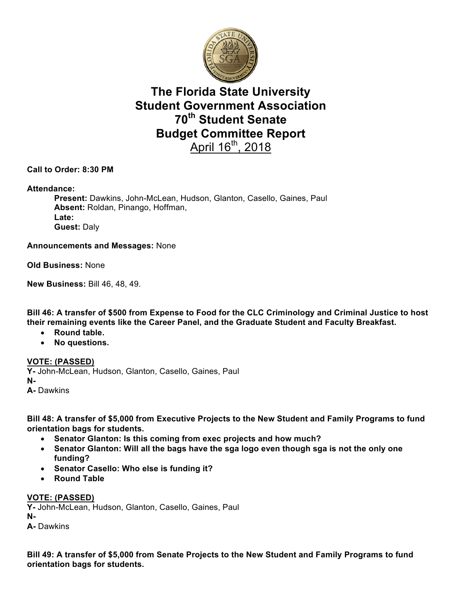

# **The Florida State University Student Government Association 70th Student Senate Budget Committee Report**  April 16<sup>th</sup>, 2018

### **Call to Order: 8:30 PM**

#### **Attendance:**

**Present:** Dawkins, John-McLean, Hudson, Glanton, Casello, Gaines, Paul **Absent:** Roldan, Pinango, Hoffman, **Late: Guest:** Daly

#### **Announcements and Messages:** None

**Old Business:** None

**New Business:** Bill 46, 48, 49.

**Bill 46: A transfer of \$500 from Expense to Food for the CLC Criminology and Criminal Justice to host their remaining events like the Career Panel, and the Graduate Student and Faculty Breakfast.**

- **Round table.**
- **No questions.**

**VOTE: (PASSED) Y-** John-McLean, Hudson, Glanton, Casello, Gaines, Paul **N-A-** Dawkins

**Bill 48: A transfer of \$5,000 from Executive Projects to the New Student and Family Programs to fund orientation bags for students.** 

- **Senator Glanton: Is this coming from exec projects and how much?**
- **Senator Glanton: Will all the bags have the sga logo even though sga is not the only one funding?**
- **Senator Casello: Who else is funding it?**
- **Round Table**

#### **VOTE: (PASSED)**

**Y-** John-McLean, Hudson, Glanton, Casello, Gaines, Paul **N-A-** Dawkins

**Bill 49: A transfer of \$5,000 from Senate Projects to the New Student and Family Programs to fund orientation bags for students.**